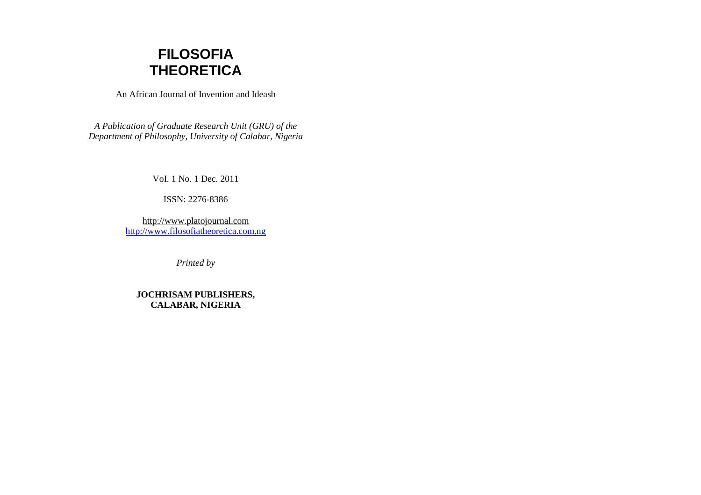

An African Journal of Invention and Ideasb

*A Publication of Graduate Research Unit (GRU) of the Department of Philosophy, University of Calabar, Nigeria* 

VoI. 1 No. 1 Dec. 2011

ISSN: 2276-8386

http://www.platojournal.comhttp://www.filosofiatheoretica.com.ng

*Printed by* 

**JOCHRISAM PUBLISHERS, CALABAR, NIGERIA**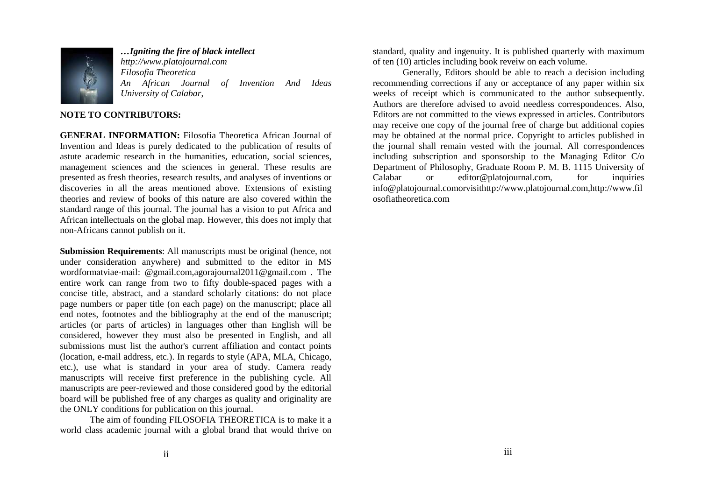

*…Igniting the fire of black intellect*

*http://www.platojournal.comFilosofia Theoretica An African Journal of Invention And Ideas University of Calabar*,

# **NOTE TO CONTRIBUTORS:**

**GENERAL INFORMATION:** Filosofia Theoretica African Journal of Invention and Ideas is purely dedicated to the publication of results of astute academic research in the humanities, education, social sciences, management sciences and the sciences in general. These results are presented as fresh theories, research results, and analyses of inventions or discoveries in all the areas mentioned above. Extensions of existing theories and review of books of this nature are also covered within the standard range of this journal. The journal has a vision to put Africa and African intellectuals on the global map. However, this does not imply that non-Africans cannot publish on it.

**Submission Requirements**: All manuscripts must be original (hence, not under consideration anywhere) and submitted to the editor in MS wordformatviae-mail: @gmail.com,agorajournal2011@gmail.com . The entire work can range from two to fifty double-spaced pages with a concise title, abstract, and a standard scholarly citations: do not place page numbers or paper title (on each page) on the manuscript; place all end notes, footnotes and the bibliography at the end of the manuscript; articles (or parts of articles) in languages other than English will be considered, however they must also be presented in English, and all submissions must list the author's current affiliation and contact points (location, e-mail address, etc.). In regards to style (APA, MLA, Chicago, etc.), use what is standard in your area of study. Camera ready manuscripts will receive first preference in the publishing cycle. All manuscripts are peer-reviewed and those considered good by the editorial board will be published free of any charges as quality and originality are the ONLY conditions for publication on this journal.

 The aim of founding FILOSOFIA THEORETICA is to make it a world class academic journal with a global brand that would thrive on standard, quality and ingenuity. It is published quarterly with maximum of ten (10) articles including book reveiw on each volume.

 Generally, Editors should be able to reach a decision including recommending corrections if any or acceptance of any paper within six weeks of receipt which is communicated to the author subsequently. Authors are therefore advised to avoid needless correspondences. Also, Editors are not committed to the views expressed in articles. Contributors may receive one copy of the journal free of charge but additional copies may be obtained at the normal price. Copyright to articles published in the journal shall remain vested with the journal. All correspondences including subscription and sponsorship to the Managing Editor C/o Department of Philosophy, Graduate Room P. M. B. 1115 University of Calabar or editor@platojournal.com, for inquiries info@platojournal.comorvisithttp://www.platojournal.com,http://www.filosofiatheoretica.com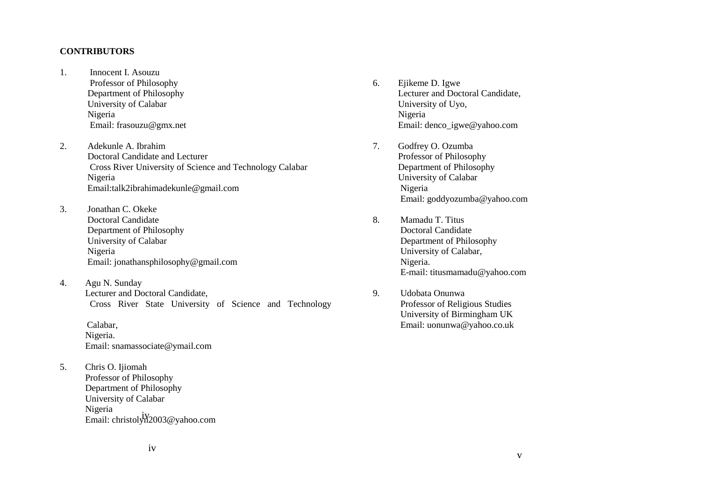#### **CONTRIBUTORS**

- 1. Innocent I. Asouzu Professor of Philosophy Department of Philosophy University of Calabar Nigeria Email: frasouzu@gmx.net
- 2. Adekunle A. Ibrahim Doctoral Candidate and Lecturer Cross River University of Science and Technology Calabar Nigeria Email:talk2ibrahimadekunle@gmail.com
- 3. Jonathan C. Okeke Doctoral Candidate Department of Philosophy University of Calabar Nigeria Email: jonathansphilosophy@gmail.com
- 4. Agu N. Sunday Lecturer and Doctoral Candidate, Cross River State University of Science and Technology

 Calabar, Nigeria. Email: snamassociate@ymail.com

5. Chris O. Ijiomah Professor of Philosophy Department of Philosophy University of Calabar Nigeria Email: christolyn<sup>1</sup>2003@yahoo.com

- 6. Ejikeme D. Igwe Lecturer and Doctoral Candidate, University of Uyo, Nigeria Email: denco\_igwe@yahoo.com
- 7. Godfrey O. Ozumba Professor of Philosophy Department of Philosophy University of Calabar Nigeria Email: goddyozumba@yahoo.com
- 8. Mamadu T. Titus Doctoral Candidate Department of Philosophy University of Calabar, Nigeria. E-mail: titusmamadu@yahoo.com
- 9. Udobata Onunwa Professor of Religious Studies University of Birmingham UK Email: uonunwa@yahoo.co.uk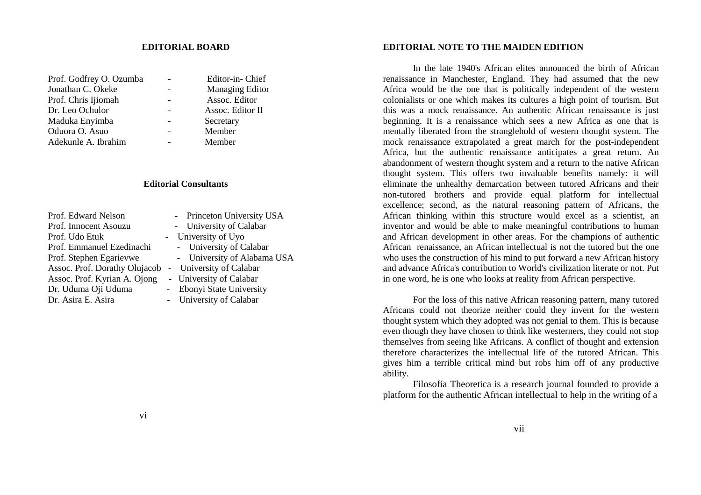#### **EDITORIAL BOARD**

| Prof. Godfrey O. Ozumba | Editor-in-Chief  |
|-------------------------|------------------|
| Jonathan C. Okeke       | Managing Editor  |
| Prof. Chris Ijiomah     | Assoc. Editor    |
| Dr. Leo Ochulor         | Assoc. Editor II |
| Maduka Enyimba          | Secretary        |
| Oduora O. Asuo          | Member           |
| Adekunle A. Ibrahim     | Member           |

### **Editorial Consultants**

| Prof. Edward Nelson           | - Princeton University USA  |
|-------------------------------|-----------------------------|
| Prof. Innocent Asouzu         | - University of Calabar     |
| Prof. Udo Etuk                | - University of Uyo         |
| Prof. Emmanuel Ezedinachi     | - University of Calabar     |
| Prof. Stephen Egarievwe       | - University of Alabama USA |
| Assoc. Prof. Dorathy Olujacob | - University of Calabar     |
| Assoc. Prof. Kyrian A. Ojong  | - University of Calabar     |
| Dr. Uduma Oji Uduma           | - Ebonyi State University   |
| Dr. Asira E. Asira            | - University of Calabar     |
|                               |                             |

## **EDITORIAL NOTE TO THE MAIDEN EDITION**

 In the late 1940's African elites announced the birth of African renaissance in Manchester, England. They had assumed that the new Africa would be the one that is politically independent of the western colonialists or one which makes its cultures a high point of tourism. But this was a mock renaissance. An authentic African renaissance is just beginning. It is a renaissance which sees a new Africa as one that is mentally liberated from the stranglehold of western thought system. The mock renaissance extrapolated a great march for the post-independent Africa, but the authentic renaissance anticipates a great return. An abandonment of western thought system and a return to the native African thought system. This offers two invaluable benefits namely: it will eliminate the unhealthy demarcation between tutored Africans and their non-tutored brothers and provide equal platform for intellectual excellence; second, as the natural reasoning pattern of Africans, the African thinking within this structure would excel as a scientist, an inventor and would be able to make meaningful contributions to human and African development in other areas. For the champions of authentic African renaissance, an African intellectual is not the tutored but the one who uses the construction of his mind to put forward a new African history and advance Africa's contribution to World's civilization literate or not. Put in one word, he is one who looks at reality from African perspective.

For the loss of this native African reasoning pattern, many tutored Africans could not theorize neither could they invent for the western thought system which they adopted was not genial to them. This is because even though they have chosen to think like westerners, they could not stop themselves from seeing like Africans. A conflict of thought and extension therefore characterizes the intellectual life of the tutored African. This gives him a terrible critical mind but robs him off of any productive ability.

Filosofia Theoretica is a research journal founded to provide a platform for the authentic African intellectual to help in the writing of a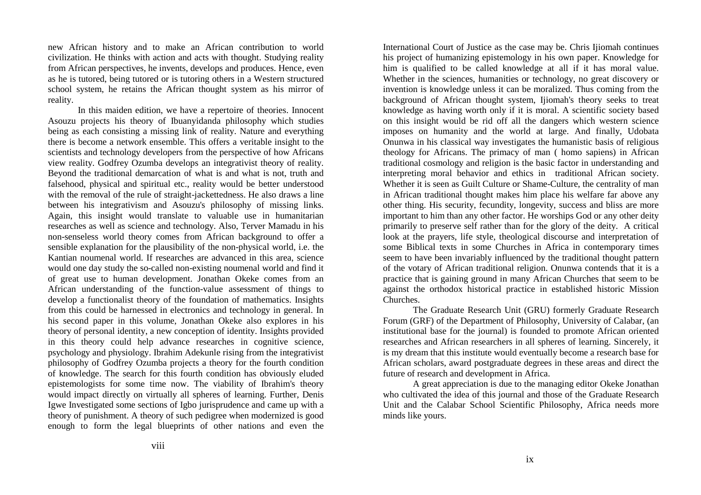new African history and to make an African contribution to world civilization. He thinks with action and acts with thought. Studying reality from African perspectives, he invents, develops and produces. Hence, even as he is tutored, being tutored or is tutoring others in a Western structured school system, he retains the African thought system as his mirror of reality.

 In this maiden edition, we have a repertoire of theories. Innocent Asouzu projects his theory of Ibuanyidanda philosophy which studies being as each consisting a missing link of reality. Nature and everything there is become a network ensemble. This offers a veritable insight to the scientists and technology developers from the perspective of how Africans view reality. Godfrey Ozumba develops an integrativist theory of reality. Beyond the traditional demarcation of what is and what is not, truth and falsehood, physical and spiritual etc., reality would be better understood with the removal of the rule of straight-jackettedness. He also draws a line between his integrativism and Asouzu's philosophy of missing links. Again, this insight would translate to valuable use in humanitarian researches as well as science and technology. Also, Terver Mamadu in his non-senseless world theory comes from African background to offer a sensible explanation for the plausibility of the non-physical world, i.e. the Kantian noumenal world. If researches are advanced in this area, science would one day study the so-called non-existing noumenal world and find it of great use to human development. Jonathan Okeke comes from an African understanding of the function-value assessment of things to develop a functionalist theory of the foundation of mathematics. Insights from this could be harnessed in electronics and technology in general. In his second paper in this volume, Jonathan Okeke also explores in his theory of personal identity, a new conception of identity. Insights provided in this theory could help advance researches in cognitive science, psychology and physiology. Ibrahim Adekunle rising from the integrativist philosophy of Godfrey Ozumba projects a theory for the fourth condition of knowledge. The search for this fourth condition has obviously eluded epistemologists for some time now. The viability of Ibrahim's theory would impact directly on virtually all spheres of learning. Further, Denis Igwe Investigated some sections of Igbo jurisprudence and came up with a theory of punishment. A theory of such pedigree when modernized is good enough to form the legal blueprints of other nations and even the International Court of Justice as the case may be. Chris Ijiomah continues his project of humanizing epistemology in his own paper. Knowledge for him is qualified to be called knowledge at all if it has moral value. Whether in the sciences, humanities or technology, no great discovery or invention is knowledge unless it can be moralized. Thus coming from the background of African thought system, Ijiomah's theory seeks to treat knowledge as having worth only if it is moral. A scientific society based on this insight would be rid off all the dangers which western science imposes on humanity and the world at large. And finally, Udobata Onunwa in his classical way investigates the humanistic basis of religious theology for Africans. The primacy of man ( homo sapiens) in African traditional cosmology and religion is the basic factor in understanding and interpreting moral behavior and ethics in traditional African society. Whether it is seen as Guilt Culture or Shame-Culture, the centrality of man in African traditional thought makes him place his welfare far above any other thing. His security, fecundity, longevity, success and bliss are more important to him than any other factor. He worships God or any other deity primarily to preserve self rather than for the glory of the deity. A critical look at the prayers, life style, theological discourse and interpretation of some Biblical texts in some Churches in Africa in contemporary times seem to have been invariably influenced by the traditional thought pattern of the votary of African traditional religion. Onunwa contends that it is a practice that is gaining ground in many African Churches that seem to be against the orthodox historical practice in established historic Mission Churches.

 The Graduate Research Unit (GRU) formerly Graduate Research Forum (GRF) of the Department of Philosophy, University of Calabar, (an institutional base for the journal) is founded to promote African oriented researches and African researchers in all spheres of learning. Sincerely, it is my dream that this institute would eventually become a research base for African scholars, award postgraduate degrees in these areas and direct the future of research and development in Africa.

 A great appreciation is due to the managing editor Okeke Jonathan who cultivated the idea of this journal and those of the Graduate Research Unit and the Calabar School Scientific Philosophy, Africa needs more minds like yours.